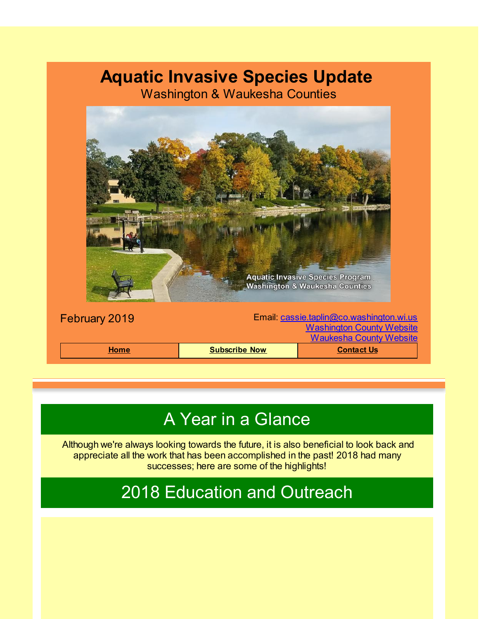## **Aquatic Invasive Species Update**

Washington & Waukesha Counties



## A Year in a Glance

Although we're always looking towards the future, it is also beneficial to look back and appreciate all the work that has been accomplished in the past! 2018 had many successes; here are some of the highlights!

2018 Education and Outreach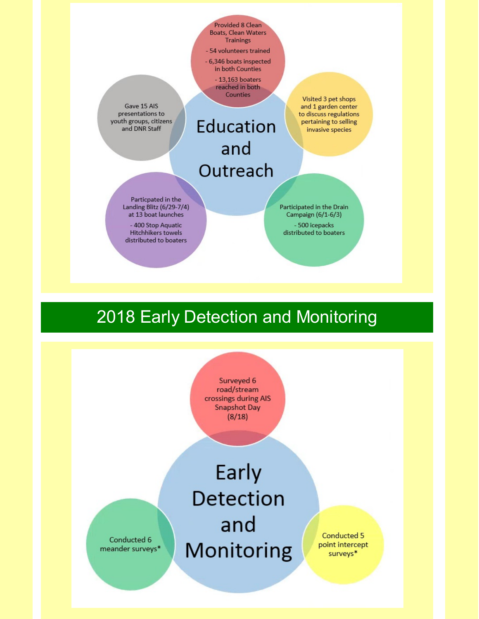Provided 8 Clean Boats, Clean Waters **Trainings** 

- 54 volunteers trained - 6,346 boats inspected in both Counties

> $-13,163$  boaters reached in both Counties

Gave 15 AIS presentations to youth groups, citizens and DNR Staff

Education and Outreach

Particpated in the Landing Blitz (6/29-7/4) at 13 boat launches

- 400 Stop Aquatic Hitchhikers towels distributed to boaters

Visited 3 pet shops and 1 garden center to discuss regulations pertaining to selling invasive species

Participated in the Drain Campaign (6/1-6/3) - 500 icepacks distributed to boaters

## 2018 Early Detection and Monitoring

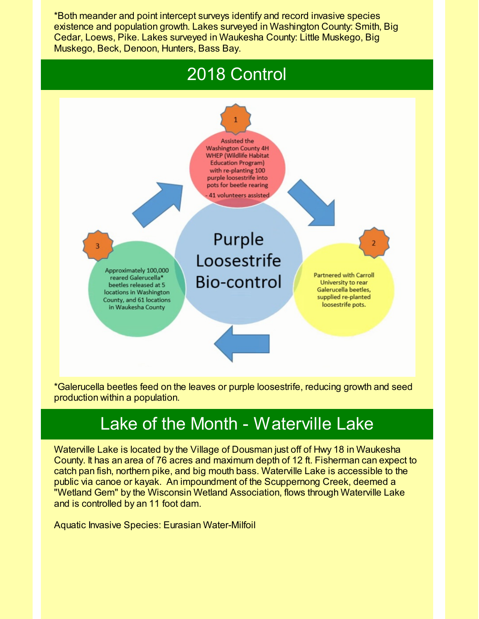\*Both meander and point intercept surveys identify and record invasive species existence and population growth. Lakes surveyed in Washington County: Smith, Big Cedar, Loews, Pike. Lakes surveyed in Waukesha County: Little Muskego, Big Muskego, Beck, Denoon, Hunters, Bass Bay.





\*Galerucella beetles feed on the leaves or purple loosestrife, reducing growth and seed production within a population.

## Lake of the Month - Waterville Lake

Waterville Lake is located by the Village of Dousman just off of Hwy 18 in Waukesha County. It has an area of 76 acres and maximum depth of 12 ft. Fisherman can expect to catch pan fish, northern pike, and big mouth bass. Waterville Lake is accessible to the public via canoe or kayak. An impoundment of the Scuppernong Creek, deemed a "Wetland Gem" by the Wisconsin Wetland Association, flows through Waterville Lake and is controlled by an 11 foot dam.

Aquatic Invasive Species: Eurasian Water-Milfoil